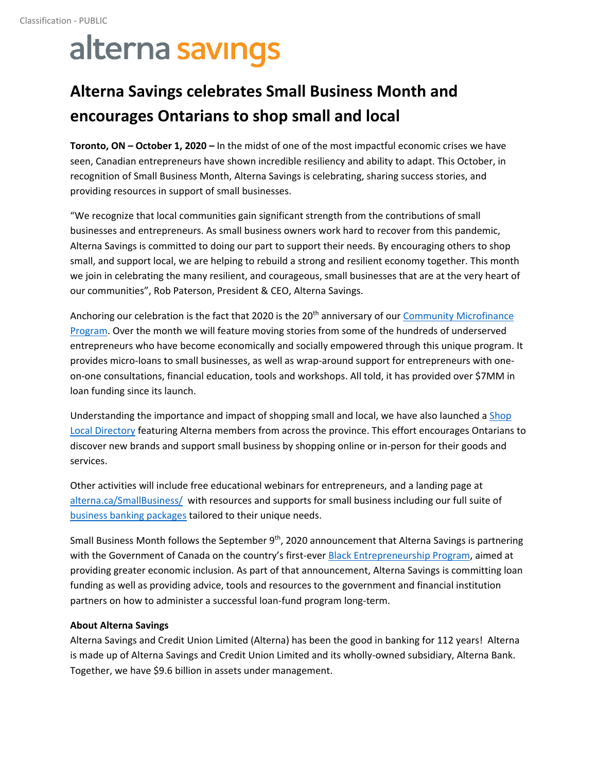# alterna savings

### **Alterna Savings celebrates Small Business Month and encourages Ontarians to shop small and local**

**Toronto, ON – October 1, 2020 –** In the midst of one of the most impactful economic crises we have seen, Canadian entrepreneurs have shown incredible resiliency and ability to adapt. This October, in recognition of Small Business Month, Alterna Savings is celebrating, sharing success stories, and providing resources in support of small businesses.

"We recognize that local communities gain significant strength from the contributions of small businesses and entrepreneurs. As small business owners work hard to recover from this pandemic, Alterna Savings is committed to doing our part to support their needs. By encouraging others to shop small, and support local, we are helping to rebuild a strong and resilient economy together. This month we join in celebrating the many resilient, and courageous, small businesses that are at the very heart of our communities", Rob Paterson, President & CEO, Alterna Savings.

Anchoring our celebration is the fact that 2020 is the 20<sup>th</sup> anniversary of our Community Microfinance [Program.](https://www.alterna.ca/AboutUs/Community/ProgramsResources/) Over the month we will feature moving stories from some of the hundreds of underserved entrepreneurs who have become economically and socially empowered through this unique program. It provides micro-loans to small businesses, as well as wrap-around support for entrepreneurs with one on-one consultations, financial education, tools and workshops. All told, it has provided over \$7MM in loan funding since its launch. **.** 

Understanding the importance and impact of shopping small and local, we have also launched a [Shop](https://www.alterna.ca/SmallBusiness/ShopLocalDirectory/)  [Local Directory](https://www.alterna.ca/SmallBusiness/ShopLocalDirectory/) featuring Alterna members from across the province. This effort encourages Ontarians to discover new brands and support small business by shopping online or in-person for their goods and services.

Other activities will include free educational webinars for entrepreneurs, and a landing page at [alterna.ca/SmallBusiness/](https://www.alterna.ca/SmallBusiness/) with resources and supports for small business including our full suite of [business banking packages t](https://www.alterna.ca/Business/AccountsAndAccess/BankingPackages/)ailored to their unique needs.

 providing greater economic inclusion. As part of that announcement, Alterna Savings is committing loan Small Business Month follows the September 9<sup>th</sup>, 2020 announcement that Alterna Savings is partnering with the Government of Canada on the country's first-ever [Black Entrepreneurship Program,](https://pm.gc.ca/en/news/news-releases/2020/09/09/prime-minister-announces-support-black-entrepreneurs-and-business) aimed at funding as well as providing advice, tools and resources to the government and financial institution partners on how to administer a successful loan-fund program long-term.

#### **About Alterna Savings**

Alterna Savings and Credit Union Limited (Alterna) has been the good in banking for 112 years! Alterna is made up of Alterna Savings and Credit Union Limited and its wholly-owned subsidiary, Alterna Bank. Together, we have \$9.6 billion in assets under management.